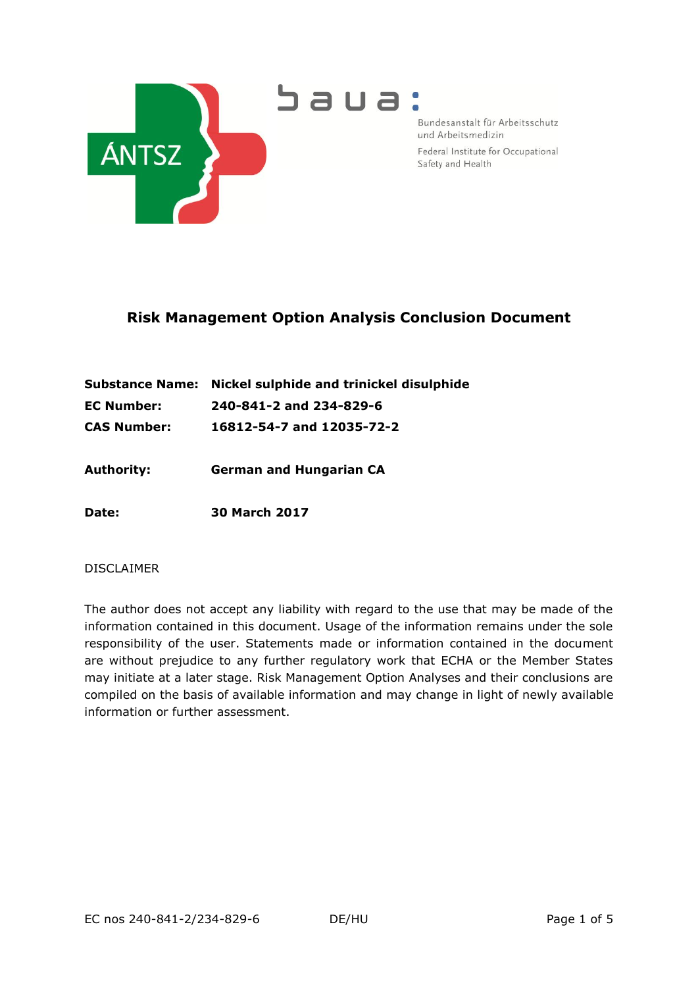

Bundesanstalt für Arbeitsschutz und Arbeitsmedizin Federal Institute for Occupational

Safety and Health

## **Risk Management Option Analysis Conclusion Document**

|             | Substance Name: Nickel sulphide and trinickel disulphide |
|-------------|----------------------------------------------------------|
| EC Number:  | 240-841-2 and 234-829-6                                  |
| CAS Number: | 16812-54-7 and 12035-72-2                                |

**Authority: German and Hungarian CA**

**Date: 30 March 2017**

### DISCLAIMER

The author does not accept any liability with regard to the use that may be made of the information contained in this document. Usage of the information remains under the sole responsibility of the user. Statements made or information contained in the document are without prejudice to any further regulatory work that ECHA or the Member States may initiate at a later stage. Risk Management Option Analyses and their conclusions are compiled on the basis of available information and may change in light of newly available information or further assessment.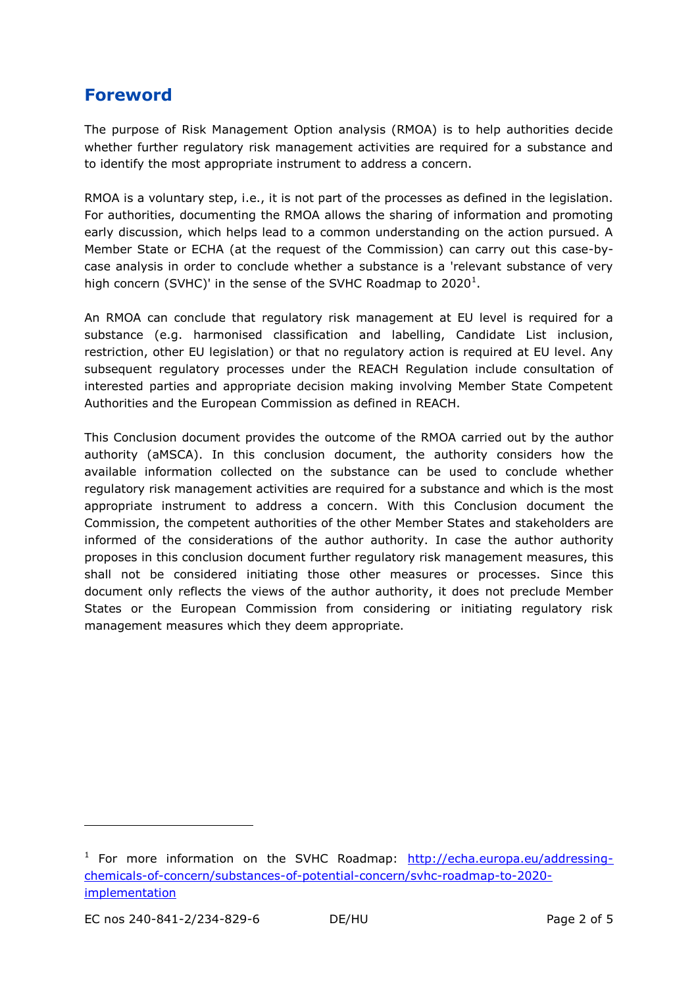# **Foreword**

The purpose of Risk Management Option analysis (RMOA) is to help authorities decide whether further regulatory risk management activities are required for a substance and to identify the most appropriate instrument to address a concern.

RMOA is a voluntary step, i.e., it is not part of the processes as defined in the legislation. For authorities, documenting the RMOA allows the sharing of information and promoting early discussion, which helps lead to a common understanding on the action pursued. A Member State or ECHA (at the request of the Commission) can carry out this case-bycase analysis in order to conclude whether a substance is a 'relevant substance of very high concern (SVHC)' in the sense of the SVHC Roadmap to 2020<sup>1</sup>.

An RMOA can conclude that regulatory risk management at EU level is required for a substance (e.g. harmonised classification and labelling, Candidate List inclusion, restriction, other EU legislation) or that no regulatory action is required at EU level. Any subsequent regulatory processes under the REACH Regulation include consultation of interested parties and appropriate decision making involving Member State Competent Authorities and the European Commission as defined in REACH.

This Conclusion document provides the outcome of the RMOA carried out by the author authority (aMSCA). In this conclusion document, the authority considers how the available information collected on the substance can be used to conclude whether regulatory risk management activities are required for a substance and which is the most appropriate instrument to address a concern. With this Conclusion document the Commission, the competent authorities of the other Member States and stakeholders are informed of the considerations of the author authority. In case the author authority proposes in this conclusion document further regulatory risk management measures, this shall not be considered initiating those other measures or processes. Since this document only reflects the views of the author authority, it does not preclude Member States or the European Commission from considering or initiating regulatory risk management measures which they deem appropriate.

-

<sup>&</sup>lt;sup>1</sup> For more information on the SVHC Roadmap: [http://echa.europa.eu/addressing](http://echa.europa.eu/addressing-chemicals-of-concern/substances-of-potential-concern/svhc-roadmap-to-2020-implementation)[chemicals-of-concern/substances-of-potential-concern/svhc-roadmap-to-2020](http://echa.europa.eu/addressing-chemicals-of-concern/substances-of-potential-concern/svhc-roadmap-to-2020-implementation) [implementation](http://echa.europa.eu/addressing-chemicals-of-concern/substances-of-potential-concern/svhc-roadmap-to-2020-implementation)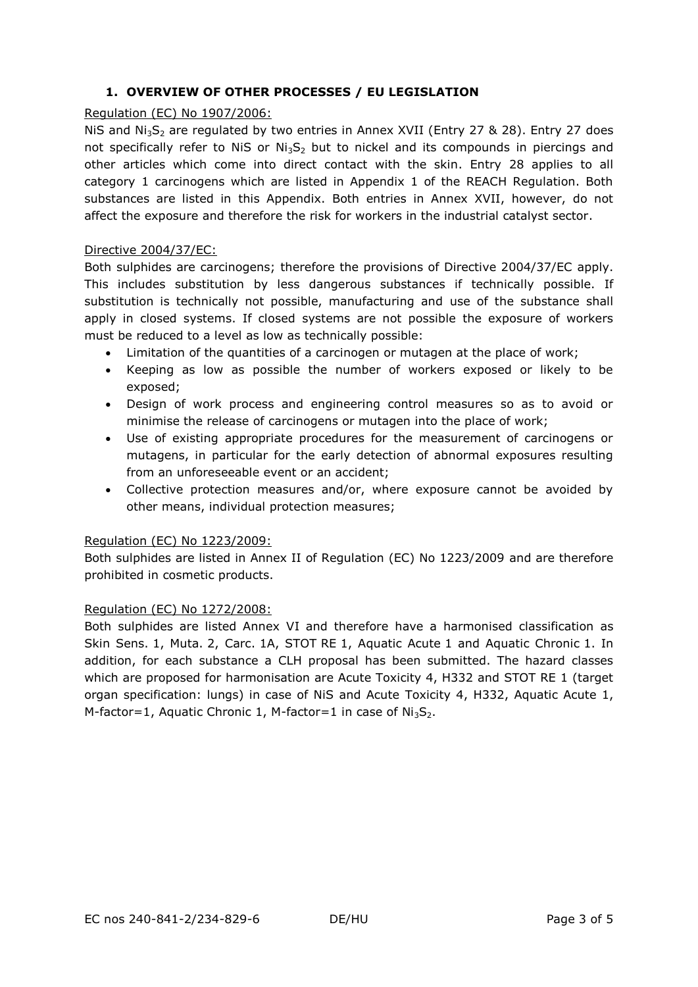### **1. OVERVIEW OF OTHER PROCESSES / EU LEGISLATION**

#### Regulation (EC) No 1907/2006:

NiS and  $Ni<sub>3</sub>S<sub>2</sub>$  are regulated by two entries in Annex XVII (Entry 27 & 28). Entry 27 does not specifically refer to NiS or  $Ni_3S_2$  but to nickel and its compounds in piercings and other articles which come into direct contact with the skin. Entry 28 applies to all category 1 carcinogens which are listed in Appendix 1 of the REACH Regulation. Both substances are listed in this Appendix. Both entries in Annex XVII, however, do not affect the exposure and therefore the risk for workers in the industrial catalyst sector.

#### Directive 2004/37/EC:

Both sulphides are carcinogens; therefore the provisions of Directive 2004/37/EC apply. This includes substitution by less dangerous substances if technically possible. If substitution is technically not possible, manufacturing and use of the substance shall apply in closed systems. If closed systems are not possible the exposure of workers must be reduced to a level as low as technically possible:

- Limitation of the quantities of a carcinogen or mutagen at the place of work;
- Keeping as low as possible the number of workers exposed or likely to be exposed;
- Design of work process and engineering control measures so as to avoid or minimise the release of carcinogens or mutagen into the place of work;
- Use of existing appropriate procedures for the measurement of carcinogens or mutagens, in particular for the early detection of abnormal exposures resulting from an unforeseeable event or an accident;
- Collective protection measures and/or, where exposure cannot be avoided by other means, individual protection measures;

#### Regulation (EC) No 1223/2009:

Both sulphides are listed in Annex II of Regulation (EC) No 1223/2009 and are therefore prohibited in cosmetic products.

#### Regulation (EC) No 1272/2008:

Both sulphides are listed Annex VI and therefore have a harmonised classification as Skin Sens. 1, Muta. 2, Carc. 1A, STOT RE 1, Aquatic Acute 1 and Aquatic Chronic 1. In addition, for each substance a CLH proposal has been submitted. The hazard classes which are proposed for harmonisation are Acute Toxicity 4, H332 and STOT RE 1 (target organ specification: lungs) in case of NiS and Acute Toxicity 4, H332, Aquatic Acute 1, M-factor=1, Aquatic Chronic 1, M-factor=1 in case of  $Ni_3S_2$ .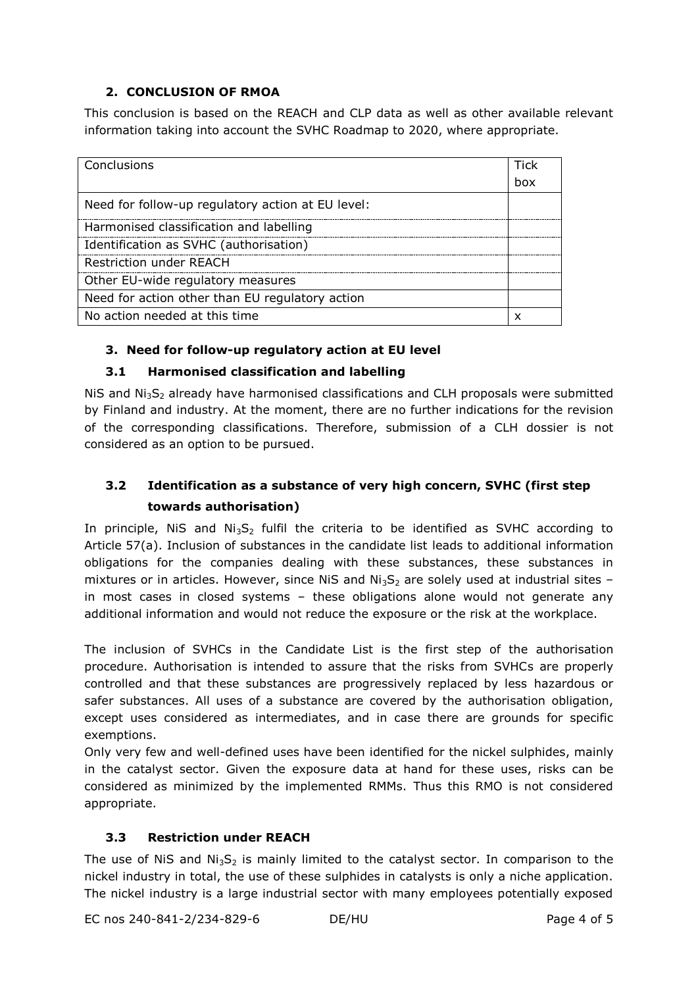## **2. CONCLUSION OF RMOA**

This conclusion is based on the REACH and CLP data as well as other available relevant information taking into account the SVHC Roadmap to 2020, where appropriate.

| Conclusions                                       | Tick |
|---------------------------------------------------|------|
|                                                   | hox  |
| Need for follow-up regulatory action at EU level: |      |
| Harmonised classification and labelling           |      |
| Identification as SVHC (authorisation)            |      |
| <b>Restriction under REACH</b>                    |      |
| Other EU-wide regulatory measures                 |      |
| Need for action other than EU regulatory action   |      |
| No action needed at this time                     |      |

## **3. Need for follow-up regulatory action at EU level**

## **3.1 Harmonised classification and labelling**

 $N$ iS and  $N_i$ <sub>5</sub>, already have harmonised classifications and CLH proposals were submitted by Finland and industry. At the moment, there are no further indications for the revision of the corresponding classifications. Therefore, submission of a CLH dossier is not considered as an option to be pursued.

## **3.2 Identification as a substance of very high concern, SVHC (first step towards authorisation)**

In principle, NiS and  $Ni<sub>3</sub>S<sub>2</sub>$  fulfil the criteria to be identified as SVHC according to Article 57(a). Inclusion of substances in the candidate list leads to additional information obligations for the companies dealing with these substances, these substances in mixtures or in articles. However, since NiS and  $Ni<sub>3</sub>S<sub>2</sub>$  are solely used at industrial sites in most cases in closed systems – these obligations alone would not generate any additional information and would not reduce the exposure or the risk at the workplace.

The inclusion of SVHCs in the Candidate List is the first step of the authorisation procedure. Authorisation is intended to assure that the risks from SVHCs are properly controlled and that these substances are progressively replaced by less hazardous or safer substances. All uses of a substance are covered by the authorisation obligation, except uses considered as intermediates, and in case there are grounds for specific exemptions.

Only very few and well-defined uses have been identified for the nickel sulphides, mainly in the catalyst sector. Given the exposure data at hand for these uses, risks can be considered as minimized by the implemented RMMs. Thus this RMO is not considered appropriate.

## **3.3 Restriction under REACH**

The use of NiS and Ni<sub>3</sub>S<sub>2</sub> is mainly limited to the catalyst sector. In comparison to the nickel industry in total, the use of these sulphides in catalysts is only a niche application. The nickel industry is a large industrial sector with many employees potentially exposed